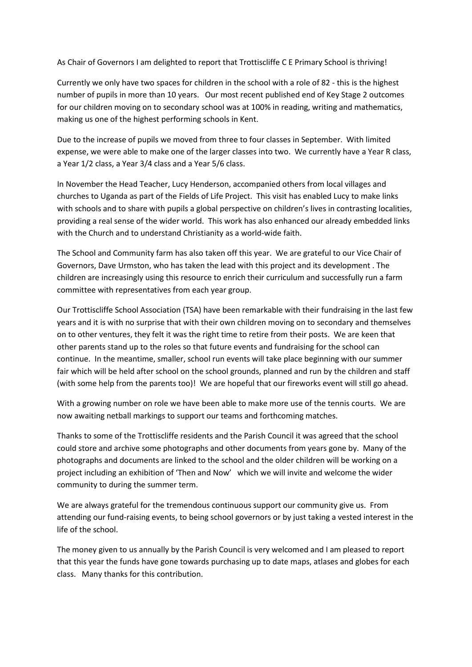As Chair of Governors I am delighted to report that Trottiscliffe C E Primary School is thriving!

Currently we only have two spaces for children in the school with a role of 82 - this is the highest number of pupils in more than 10 years. Our most recent published end of Key Stage 2 outcomes for our children moving on to secondary school was at 100% in reading, writing and mathematics, making us one of the highest performing schools in Kent.

Due to the increase of pupils we moved from three to four classes in September. With limited expense, we were able to make one of the larger classes into two. We currently have a Year R class, a Year 1/2 class, a Year 3/4 class and a Year 5/6 class.

In November the Head Teacher, Lucy Henderson, accompanied others from local villages and churches to Uganda as part of the Fields of Life Project. This visit has enabled Lucy to make links with schools and to share with pupils a global perspective on children's lives in contrasting localities, providing a real sense of the wider world. This work has also enhanced our already embedded links with the Church and to understand Christianity as a world-wide faith.

The School and Community farm has also taken off this year. We are grateful to our Vice Chair of Governors, Dave Urmston, who has taken the lead with this project and its development . The children are increasingly using this resource to enrich their curriculum and successfully run a farm committee with representatives from each year group.

Our Trottiscliffe School Association (TSA) have been remarkable with their fundraising in the last few years and it is with no surprise that with their own children moving on to secondary and themselves on to other ventures, they felt it was the right time to retire from their posts. We are keen that other parents stand up to the roles so that future events and fundraising for the school can continue. In the meantime, smaller, school run events will take place beginning with our summer fair which will be held after school on the school grounds, planned and run by the children and staff (with some help from the parents too)! We are hopeful that our fireworks event will still go ahead.

With a growing number on role we have been able to make more use of the tennis courts. We are now awaiting netball markings to support our teams and forthcoming matches.

Thanks to some of the Trottiscliffe residents and the Parish Council it was agreed that the school could store and archive some photographs and other documents from years gone by. Many of the photographs and documents are linked to the school and the older children will be working on a project including an exhibition of 'Then and Now' which we will invite and welcome the wider community to during the summer term.

We are always grateful for the tremendous continuous support our community give us. From attending our fund-raising events, to being school governors or by just taking a vested interest in the life of the school.

The money given to us annually by the Parish Council is very welcomed and I am pleased to report that this year the funds have gone towards purchasing up to date maps, atlases and globes for each class. Many thanks for this contribution.